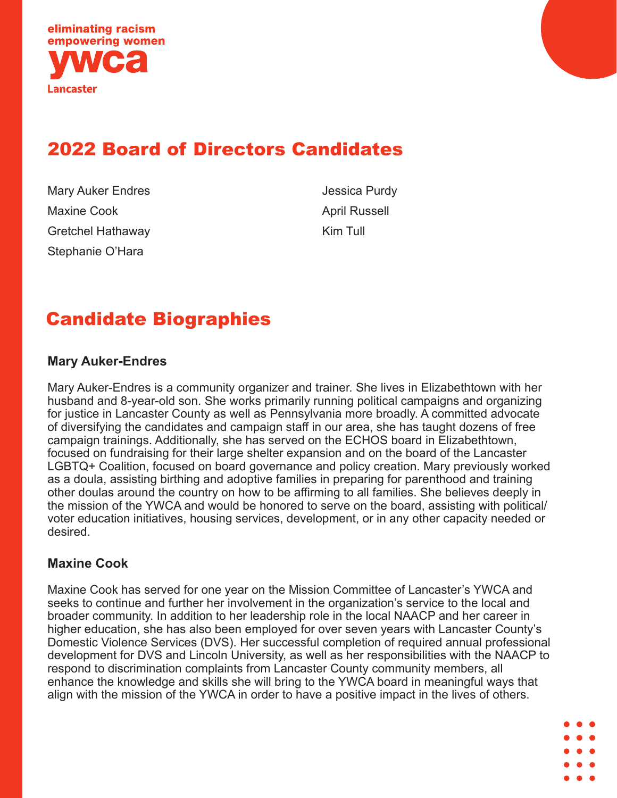

## 2022 Board of Directors Candidates

Mary Auker Endres Maxine Cook Gretchel Hathaway Stephanie O'Hara

Jessica Purdy April Russell Kim Tull

# Candidate Biographies

### **Mary Auker-Endres**

Mary Auker-Endres is a community organizer and trainer. She lives in Elizabethtown with her husband and 8-year-old son. She works primarily running political campaigns and organizing for justice in Lancaster County as well as Pennsylvania more broadly. A committed advocate of diversifying the candidates and campaign staff in our area, she has taught dozens of free campaign trainings. Additionally, she has served on the ECHOS board in Elizabethtown, focused on fundraising for their large shelter expansion and on the board of the Lancaster LGBTQ+ Coalition, focused on board governance and policy creation. Mary previously worked as a doula, assisting birthing and adoptive families in preparing for parenthood and training other doulas around the country on how to be affirming to all families. She believes deeply in the mission of the YWCA and would be honored to serve on the board, assisting with political/ voter education initiatives, housing services, development, or in any other capacity needed or desired.

### **Maxine Cook**

Maxine Cook has served for one year on the Mission Committee of Lancaster's YWCA and seeks to continue and further her involvement in the organization's service to the local and broader community. In addition to her leadership role in the local NAACP and her career in higher education, she has also been employed for over seven years with Lancaster County's Domestic Violence Services (DVS). Her successful completion of required annual professional development for DVS and Lincoln University, as well as her responsibilities with the NAACP to respond to discrimination complaints from Lancaster County community members, all enhance the knowledge and skills she will bring to the YWCA board in meaningful ways that align with the mission of the YWCA in order to have a positive impact in the lives of others.

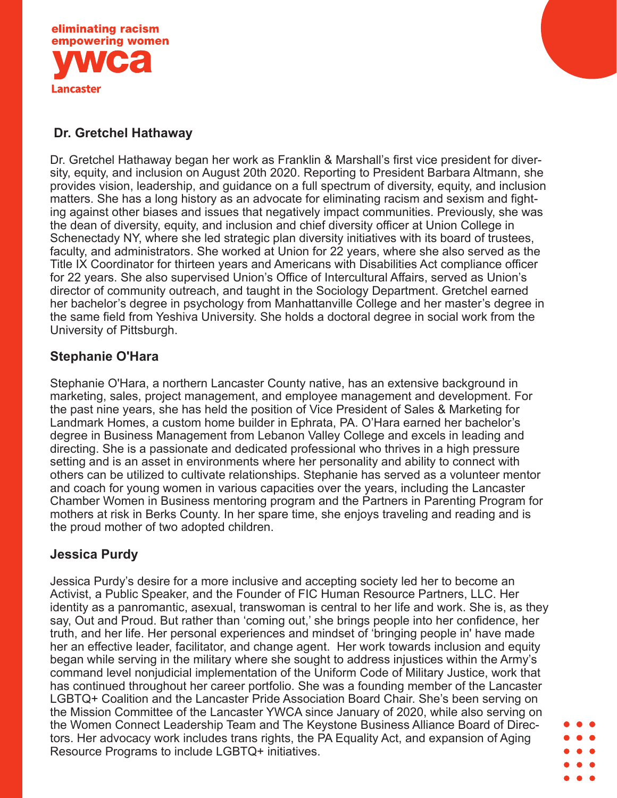

## **Dr. Gretchel Hathaway**

Dr. Gretchel Hathaway began her work as Franklin & Marshall's first vice president for diversity, equity, and inclusion on August 20th 2020. Reporting to President Barbara Altmann, she provides vision, leadership, and guidance on a full spectrum of diversity, equity, and inclusion matters. She has a long history as an advocate for eliminating racism and sexism and fighting against other biases and issues that negatively impact communities. Previously, she was the dean of diversity, equity, and inclusion and chief diversity officer at Union College in Schenectady NY, where she led strategic plan diversity initiatives with its board of trustees, faculty, and administrators. She worked at Union for 22 years, where she also served as the Title IX Coordinator for thirteen years and Americans with Disabilities Act compliance officer for 22 years. She also supervised Union's Office of Intercultural Affairs, served as Union's director of community outreach, and taught in the Sociology Department. Gretchel earned her bachelor's degree in psychology from Manhattanville College and her master's degree in the same field from Yeshiva University. She holds a doctoral degree in social work from the University of Pittsburgh.

## **Stephanie O'Hara**

Stephanie O'Hara, a northern Lancaster County native, has an extensive background in marketing, sales, project management, and employee management and development. For the past nine years, she has held the position of Vice President of Sales & Marketing for Landmark Homes, a custom home builder in Ephrata, PA. O'Hara earned her bachelor's degree in Business Management from Lebanon Valley College and excels in leading and directing. She is a passionate and dedicated professional who thrives in a high pressure setting and is an asset in environments where her personality and ability to connect with others can be utilized to cultivate relationships. Stephanie has served as a volunteer mentor and coach for young women in various capacities over the years, including the Lancaster Chamber Women in Business mentoring program and the Partners in Parenting Program for mothers at risk in Berks County. In her spare time, she enjoys traveling and reading and is the proud mother of two adopted children.

### **Jessica Purdy**

Jessica Purdy's desire for a more inclusive and accepting society led her to become an Activist, a Public Speaker, and the Founder of FIC Human Resource Partners, LLC. Her identity as a panromantic, asexual, transwoman is central to her life and work. She is, as they say, Out and Proud. But rather than 'coming out,' she brings people into her confidence, her truth, and her life. Her personal experiences and mindset of 'bringing people in' have made her an effective leader, facilitator, and change agent. Her work towards inclusion and equity began while serving in the military where she sought to address injustices within the Army's command level nonjudicial implementation of the Uniform Code of Military Justice, work that has continued throughout her career portfolio. She was a founding member of the Lancaster LGBTQ+ Coalition and the Lancaster Pride Association Board Chair. She's been serving on the Mission Committee of the Lancaster YWCA since January of 2020, while also serving on the Women Connect Leadership Team and The Keystone Business Alliance Board of Directors. Her advocacy work includes trans rights, the PA Equality Act, and expansion of Aging Resource Programs to include LGBTQ+ initiatives.